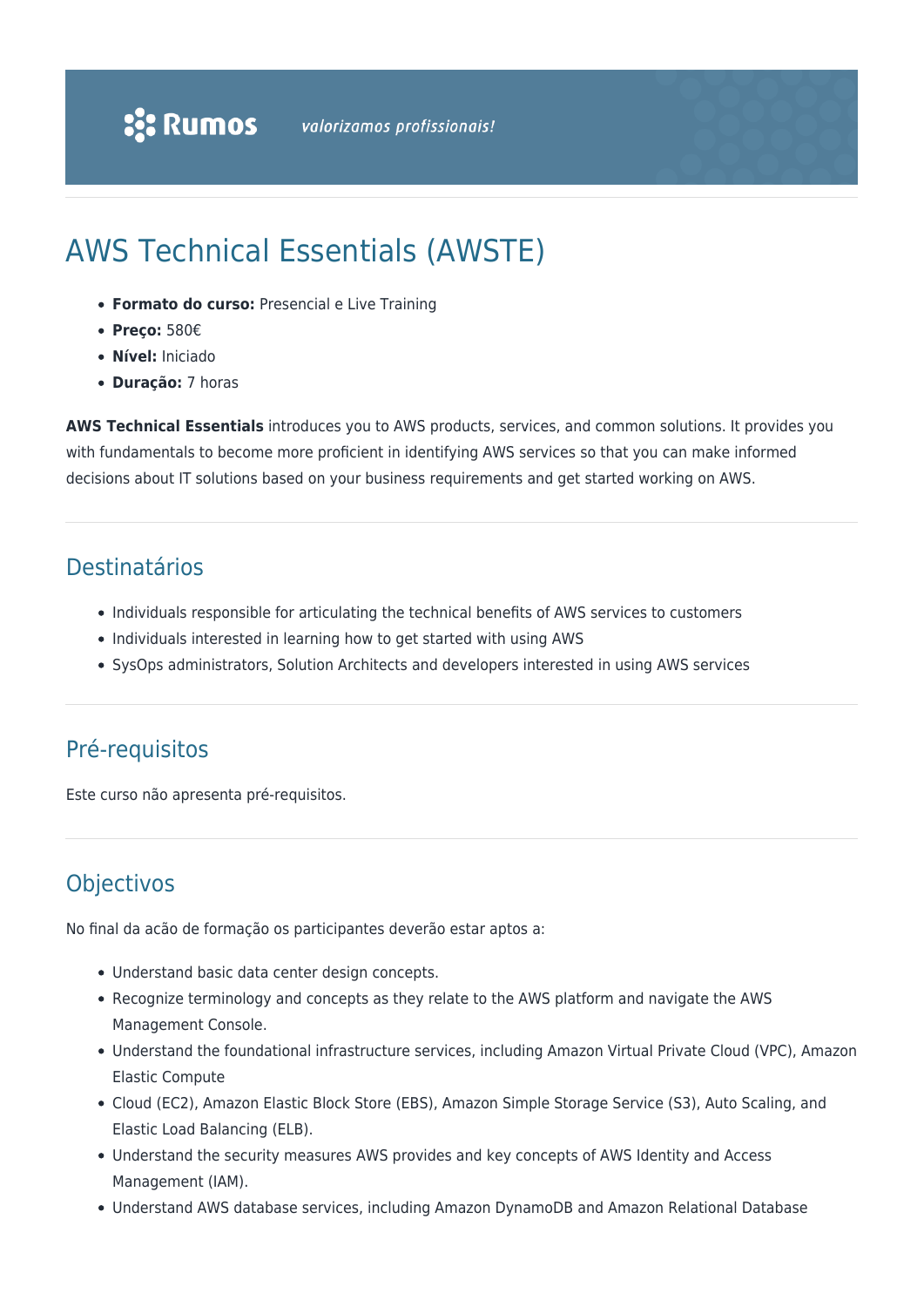# AWS Technical Essentials (AWSTE)

- **Formato do curso:** Presencial e Live Training
- **Preço:** 580€
- **Nível:** Iniciado
- **Duração:** 7 horas

**AWS Technical Essentials** introduces you to AWS products, services, and common solutions. It provides you with fundamentals to become more proficient in identifying AWS services so that you can make informed decisions about IT solutions based on your business requirements and get started working on AWS.

#### Destinatários

- Individuals responsible for articulating the technical benefits of AWS services to customers
- Individuals interested in learning how to get started with using AWS
- SysOps administrators, Solution Architects and developers interested in using AWS services

## Pré-requisitos

Este curso não apresenta pré-requisitos.

## Objectivos

No final da acão de formação os participantes deverão estar aptos a:

- Understand basic data center design concepts.
- Recognize terminology and concepts as they relate to the AWS platform and navigate the AWS Management Console.
- Understand the foundational infrastructure services, including Amazon Virtual Private Cloud (VPC), Amazon Elastic Compute
- Cloud (EC2), Amazon Elastic Block Store (EBS), Amazon Simple Storage Service (S3), Auto Scaling, and Elastic Load Balancing (ELB).
- Understand the security measures AWS provides and key concepts of AWS Identity and Access Management (IAM).
- Understand AWS database services, including Amazon DynamoDB and Amazon Relational Database